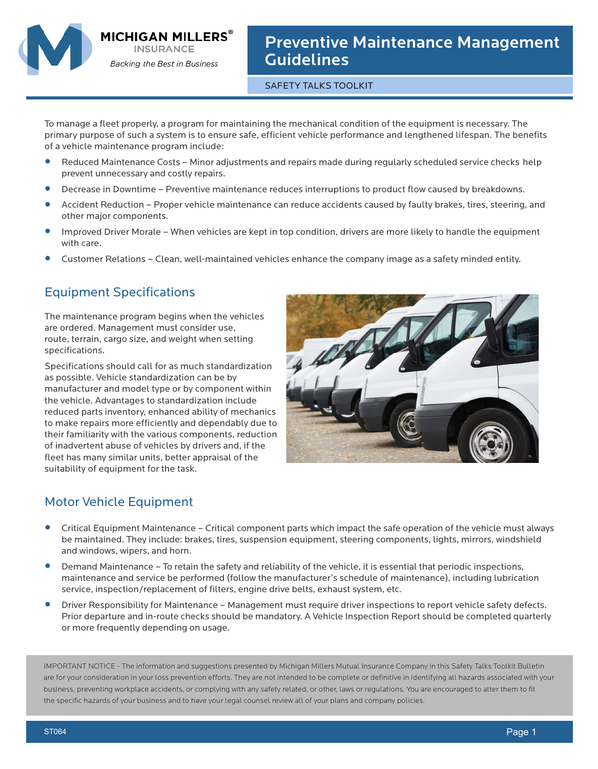

MICHIGAN MILLERS`

**Backing the Best in Business** 

Preventive Maintenance Management **Guidelines** 

SAFETY TALKS TOOLKIT

To manage a fleet properly, a program for maintaining the mechanical condition of the equipment is necessary. The primary purpose of such a system is to ensure safe, efficient vehicle performance and lengthened lifespan. The benefits of a vehicle maintenance program include:

- **•** Reduced Maintenance Costs Minor adjustments and repairs made during regularly scheduled service checks help prevent unnecessary and costly repairs.
- **•** Decrease in Downtime Preventive maintenance reduces interruptions to product flow caused by breakdowns.<br>• Accident Reduction Proper vehicle maintenance can reduce accidents caused by faulty brakes, tires, steering
- **•** Accident Reduction Proper vehicle maintenance can reduce accidents caused by faulty brakes, tires, steering, and other major components.
- **•** Improved Driver Morale When vehicles are kept in top condition, drivers are more likely to handle the equipment with care.
- **•** Customer Relations Clean, well-maintained vehicles enhance the company image as a safety minded entity.

## Equipment Specifications

The maintenance program begins when the vehicles are ordered. Management must consider use, route, terrain, cargo size, and weight when setting specifications.

Specifications should call for as much standardization as possible. Vehicle standardization can be by manufacturer and model type or by component within the vehicle. Advantages to standardization include reduced parts inventory, enhanced ability of mechanics to make repairs more efficiently and dependably due to their familiarity with the various components, reduction of inadvertent abuse of vehicles by drivers and, if the fleet has many similar units, better appraisal of the suitability of equipment for the task.



## Motor Vehicle Equipment

- **•** Critical Equipment Maintenance Critical component parts which impact the safe operation of the vehicle must always be maintained. They include: brakes, tires, suspension equipment, steering components, lights, mirrors, windshield and windows, wipers, and horn.
- **•** Demand Maintenance To retain the safety and reliability of the vehicle, it is essential that periodic inspections, maintenance and service be performed (follow the manufacturer's schedule of maintenance), including lubrication service, inspection/replacement of filters, engine drive belts, exhaust system, etc.
- **•** Driver Responsibility for Maintenance Management must require driver inspections to report vehicle safety defects. Prior departure and in-route checks should be mandatory. A Vehicle Inspection Report should be completed quarterly or more frequently depending on usage.

IMPORTANT NOTICE - The information and suggestions presented by Michigan Millers Mutual Insurance Company in this Safety Talks Toolkit Bulletin are for your consideration in your loss prevention efforts. They are not intended to be complete or definitive in identifying all hazards associated with your business, preventing workplace accidents, or complying with any safety related, or other, laws or regulations. You are encouraged to alter them to fit the specific hazards of your business and to have your legal counsel review all of your plans and company policies.